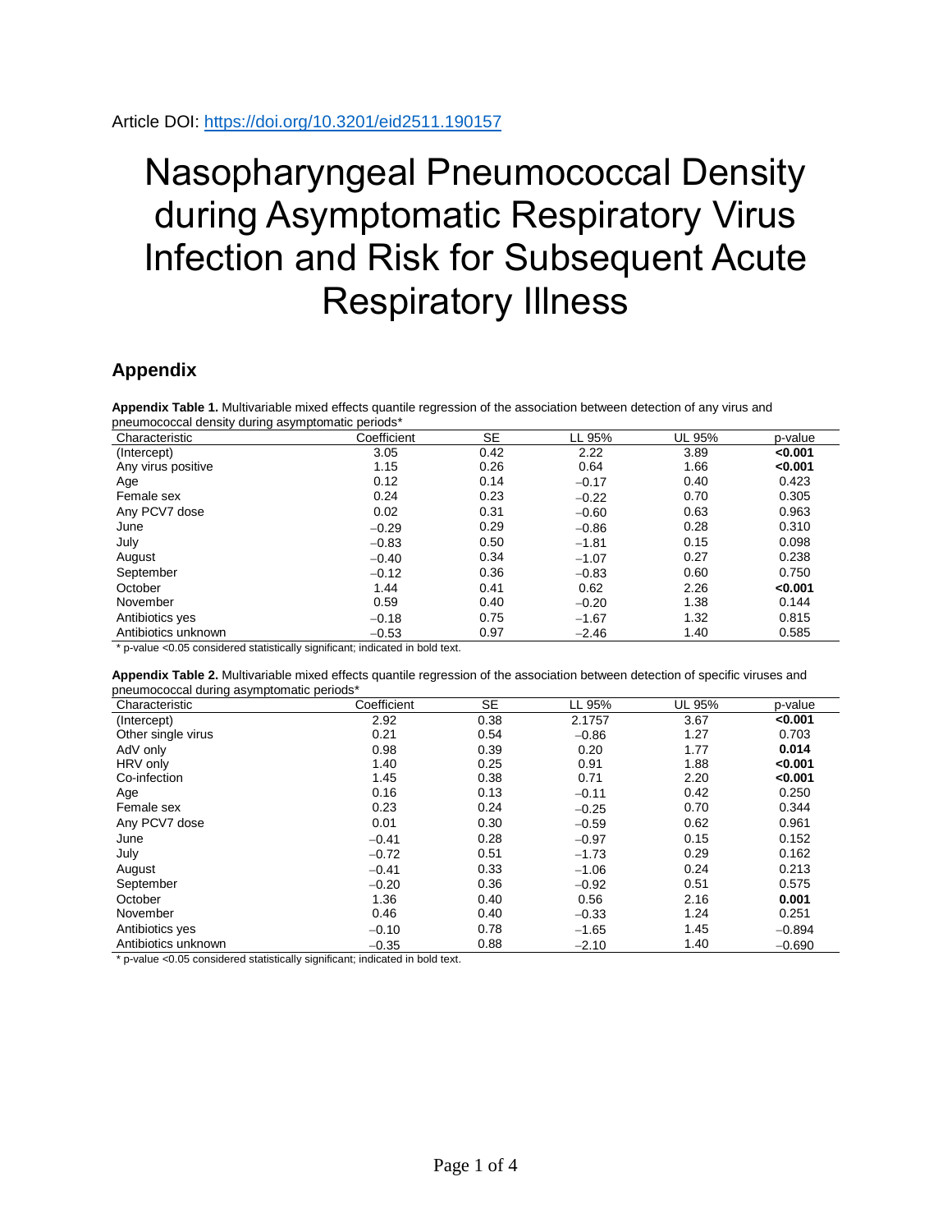## Nasopharyngeal Pneumococcal Density during Asymptomatic Respiratory Virus Infection and Risk for Subsequent Acute Respiratory Illness

## **Appendix**

**Appendix Table 1.** Multivariable mixed effects quantile regression of the association between detection of any virus and pneumococcal density during asymptomatic periods\*

| Characteristic      | Coefficient | <b>SE</b> | LL 95%  | UL 95% | p-value |
|---------------------|-------------|-----------|---------|--------|---------|
| (Intercept)         | 3.05        | 0.42      | 2.22    | 3.89   | < 0.001 |
| Any virus positive  | 1.15        | 0.26      | 0.64    | 1.66   | < 0.001 |
| Age                 | 0.12        | 0.14      | $-0.17$ | 0.40   | 0.423   |
| Female sex          | 0.24        | 0.23      | $-0.22$ | 0.70   | 0.305   |
| Any PCV7 dose       | 0.02        | 0.31      | $-0.60$ | 0.63   | 0.963   |
| June                | $-0.29$     | 0.29      | $-0.86$ | 0.28   | 0.310   |
| July                | $-0.83$     | 0.50      | $-1.81$ | 0.15   | 0.098   |
| August              | $-0.40$     | 0.34      | $-1.07$ | 0.27   | 0.238   |
| September           | $-0.12$     | 0.36      | $-0.83$ | 0.60   | 0.750   |
| October             | 1.44        | 0.41      | 0.62    | 2.26   | < 0.001 |
| November            | 0.59        | 0.40      | $-0.20$ | 1.38   | 0.144   |
| Antibiotics yes     | $-0.18$     | 0.75      | $-1.67$ | 1.32   | 0.815   |
| Antibiotics unknown | $-0.53$     | 0.97      | $-2.46$ | 1.40   | 0.585   |

\* p-value <0.05 considered statistically significant; indicated in bold text.

**Appendix Table 2.** Multivariable mixed effects quantile regression of the association between detection of specific viruses and pneumococcal during asymptomatic periods\*

| Characteristic      | Coefficient | <b>SE</b> | LL 95%  | UL 95% | p-value  |
|---------------------|-------------|-----------|---------|--------|----------|
| (Intercept)         | 2.92        | 0.38      | 2.1757  | 3.67   | < 0.001  |
| Other single virus  | 0.21        | 0.54      | $-0.86$ | 1.27   | 0.703    |
| AdV only            | 0.98        | 0.39      | 0.20    | 1.77   | 0.014    |
| HRV only            | 1.40        | 0.25      | 0.91    | 1.88   | < 0.001  |
| Co-infection        | 1.45        | 0.38      | 0.71    | 2.20   | < 0.001  |
| Age                 | 0.16        | 0.13      | $-0.11$ | 0.42   | 0.250    |
| Female sex          | 0.23        | 0.24      | $-0.25$ | 0.70   | 0.344    |
| Any PCV7 dose       | 0.01        | 0.30      | $-0.59$ | 0.62   | 0.961    |
| June                | $-0.41$     | 0.28      | $-0.97$ | 0.15   | 0.152    |
| July                | $-0.72$     | 0.51      | $-1.73$ | 0.29   | 0.162    |
| August              | $-0.41$     | 0.33      | $-1.06$ | 0.24   | 0.213    |
| September           | $-0.20$     | 0.36      | $-0.92$ | 0.51   | 0.575    |
| October             | 1.36        | 0.40      | 0.56    | 2.16   | 0.001    |
| November            | 0.46        | 0.40      | $-0.33$ | 1.24   | 0.251    |
| Antibiotics yes     | $-0.10$     | 0.78      | $-1.65$ | 1.45   | $-0.894$ |
| Antibiotics unknown | $-0.35$     | 0.88      | $-2.10$ | 1.40   | $-0.690$ |

\* p-value <0.05 considered statistically significant; indicated in bold text.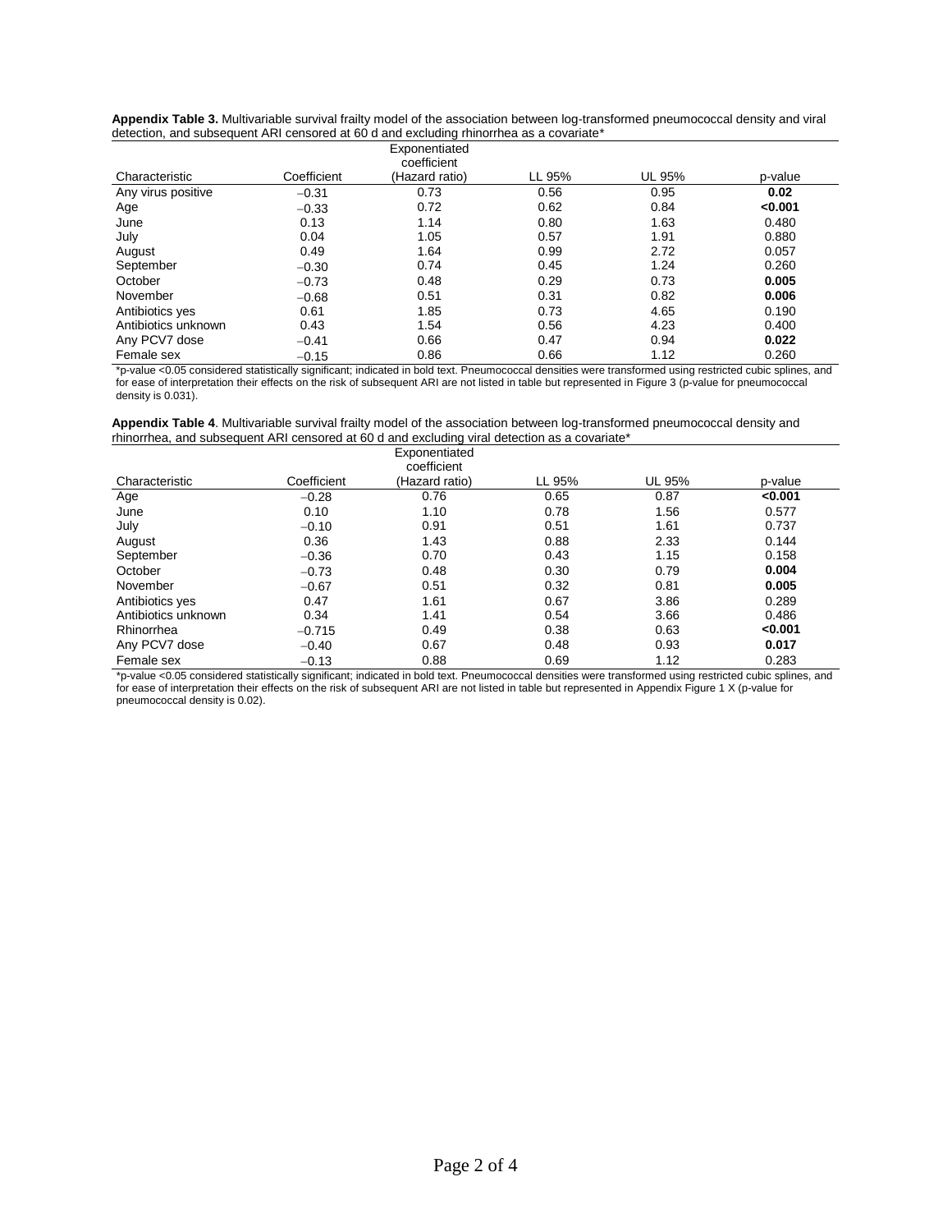|                     |             | Exponentiated<br>coefficient |        |        |         |
|---------------------|-------------|------------------------------|--------|--------|---------|
| Characteristic      | Coefficient | (Hazard ratio)               | LL 95% | UL 95% | p-value |
| Any virus positive  | $-0.31$     | 0.73                         | 0.56   | 0.95   | 0.02    |
| Age                 | $-0.33$     | 0.72                         | 0.62   | 0.84   | < 0.001 |
| June                | 0.13        | 1.14                         | 0.80   | 1.63   | 0.480   |
| July                | 0.04        | 1.05                         | 0.57   | 1.91   | 0.880   |
| August              | 0.49        | 1.64                         | 0.99   | 2.72   | 0.057   |
| September           | $-0.30$     | 0.74                         | 0.45   | 1.24   | 0.260   |
| October             | $-0.73$     | 0.48                         | 0.29   | 0.73   | 0.005   |
| November            | $-0.68$     | 0.51                         | 0.31   | 0.82   | 0.006   |
| Antibiotics yes     | 0.61        | 1.85                         | 0.73   | 4.65   | 0.190   |
| Antibiotics unknown | 0.43        | 1.54                         | 0.56   | 4.23   | 0.400   |
| Any PCV7 dose       | $-0.41$     | 0.66                         | 0.47   | 0.94   | 0.022   |
| Female sex          | $-0.15$     | 0.86                         | 0.66   | 1.12   | 0.260   |

**Appendix Table 3.** Multivariable survival frailty model of the association between log-transformed pneumococcal density and viral detection, and subsequent ARI censored at 60 d and excluding rhinorrhea as a covariate\*

\*p-value <0.05 considered statistically significant; indicated in bold text. Pneumococcal densities were transformed using restricted cubic splines, and for ease of interpretation their effects on the risk of subsequent ARI are not listed in table but represented in Figure 3 (p-value for pneumococcal density is 0.031).

| Appendix Table 4. Multivariable survival frailty model of the association between log-transformed pneumococcal density and |
|----------------------------------------------------------------------------------------------------------------------------|
| rhinorrhea, and subsequent ARI censored at 60 d and excluding viral detection as a covariate*                              |

|                               |             | Exponentiated<br>coefficient |        |        |         |
|-------------------------------|-------------|------------------------------|--------|--------|---------|
| Characteristic                | Coefficient | (Hazard ratio)               | LL 95% | UL 95% | p-value |
| Age                           | $-0.28$     | 0.76                         | 0.65   | 0.87   | < 0.001 |
| June                          | 0.10        | 1.10                         | 0.78   | 1.56   | 0.577   |
| July                          | $-0.10$     | 0.91                         | 0.51   | 1.61   | 0.737   |
| August                        | 0.36        | 1.43                         | 0.88   | 2.33   | 0.144   |
| September                     | $-0.36$     | 0.70                         | 0.43   | 1.15   | 0.158   |
| October                       | $-0.73$     | 0.48                         | 0.30   | 0.79   | 0.004   |
| November                      | $-0.67$     | 0.51                         | 0.32   | 0.81   | 0.005   |
| Antibiotics yes               | 0.47        | 1.61                         | 0.67   | 3.86   | 0.289   |
| Antibiotics unknown           | 0.34        | 1.41                         | 0.54   | 3.66   | 0.486   |
| Rhinorrhea                    | $-0.715$    | 0.49                         | 0.38   | 0.63   | < 0.001 |
| Any PCV7 dose                 | $-0.40$     | 0.67                         | 0.48   | 0.93   | 0.017   |
| Female sex<br>$\cdot$ $\cdot$ | $-0.13$     | 0.88                         | 0.69   | 1.12   | 0.283   |

\*p-value <0.05 considered statistically significant; indicated in bold text. Pneumococcal densities were transformed using restricted cubic splines, and for ease of interpretation their effects on the risk of subsequent ARI are not listed in table but represented in Appendix Figure 1 X (p-value for pneumococcal density is 0.02).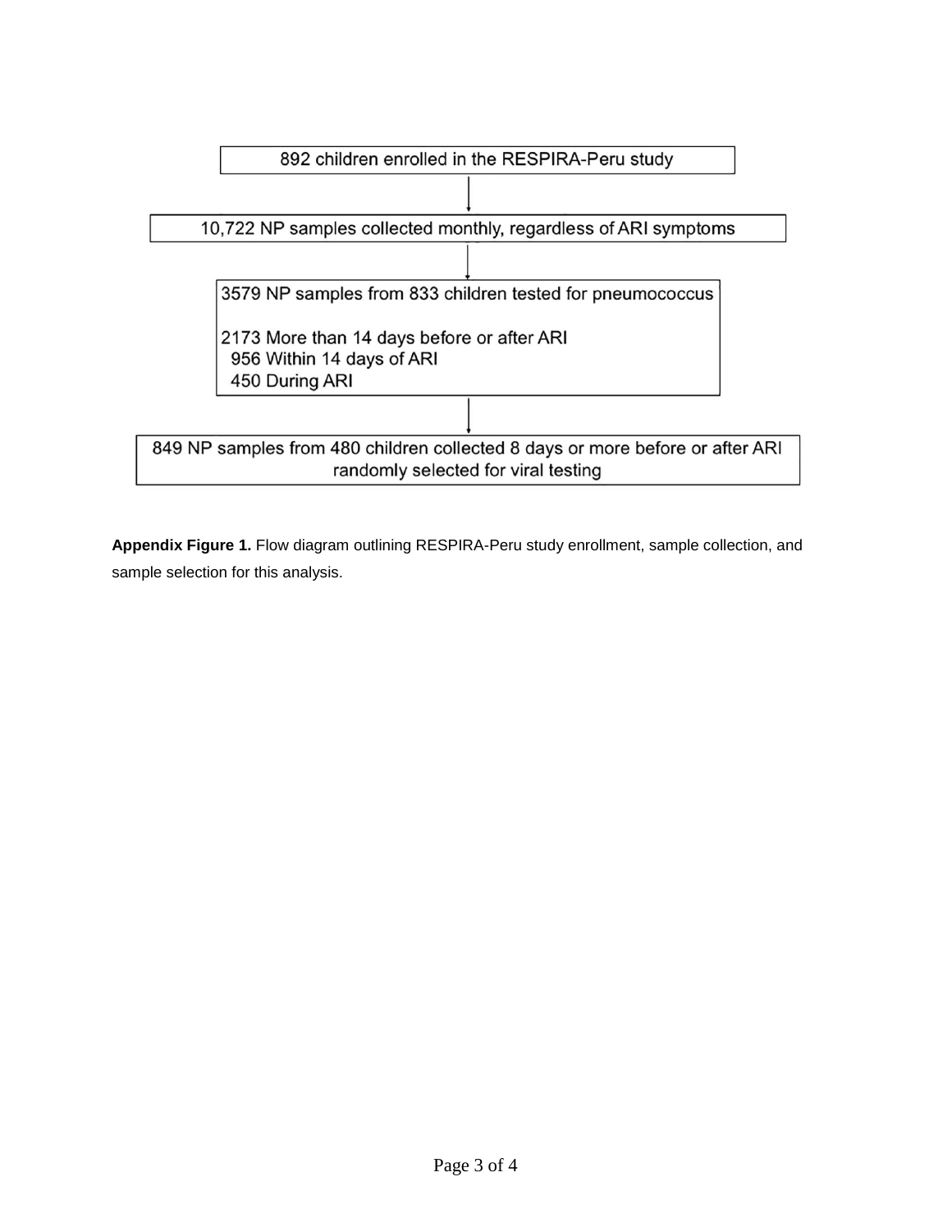

**Appendix Figure 1.** Flow diagram outlining RESPIRA-Peru study enrollment, sample collection, and sample selection for this analysis.